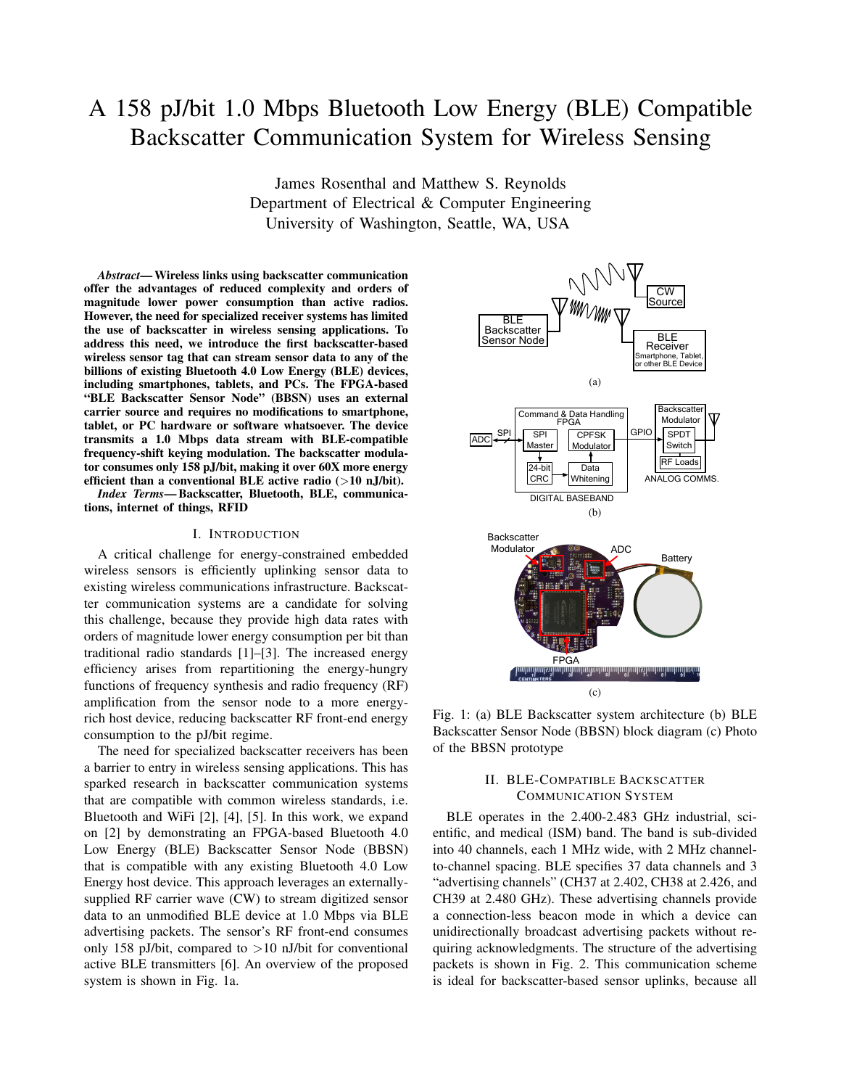# A 158 pJ/bit 1.0 Mbps Bluetooth Low Energy (BLE) Compatible Backscatter Communication System for Wireless Sensing

James Rosenthal and Matthew S. Reynolds Department of Electrical & Computer Engineering University of Washington, Seattle, WA, USA

*Abstract*— Wireless links using backscatter communication offer the advantages of reduced complexity and orders of magnitude lower power consumption than active radios. However, the need for specialized receiver systems has limited the use of backscatter in wireless sensing applications. To address this need, we introduce the first backscatter-based wireless sensor tag that can stream sensor data to any of the billions of existing Bluetooth 4.0 Low Energy (BLE) devices, including smartphones, tablets, and PCs. The FPGA-based "BLE Backscatter Sensor Node" (BBSN) uses an external carrier source and requires no modifications to smartphone, tablet, or PC hardware or software whatsoever. The device transmits a 1.0 Mbps data stream with BLE-compatible frequency-shift keying modulation. The backscatter modulator consumes only 158 pJ/bit, making it over 60X more energy efficient than a conventional BLE active radio  $(>10 \text{ nJ/bit}).$ 

*Index Terms*— Backscatter, Bluetooth, BLE, communications, internet of things, RFID

### I. INTRODUCTION

A critical challenge for energy-constrained embedded wireless sensors is efficiently uplinking sensor data to existing wireless communications infrastructure. Backscatter communication systems are a candidate for solving this challenge, because they provide high data rates with orders of magnitude lower energy consumption per bit than traditional radio standards [1]–[3]. The increased energy efficiency arises from repartitioning the energy-hungry functions of frequency synthesis and radio frequency (RF) amplification from the sensor node to a more energyrich host device, reducing backscatter RF front-end energy consumption to the pJ/bit regime.

The need for specialized backscatter receivers has been a barrier to entry in wireless sensing applications. This has sparked research in backscatter communication systems that are compatible with common wireless standards, i.e. Bluetooth and WiFi [2], [4], [5]. In this work, we expand on [2] by demonstrating an FPGA-based Bluetooth 4.0 Low Energy (BLE) Backscatter Sensor Node (BBSN) that is compatible with any existing Bluetooth 4.0 Low Energy host device. This approach leverages an externallysupplied RF carrier wave (CW) to stream digitized sensor data to an unmodified BLE device at 1.0 Mbps via BLE advertising packets. The sensor's RF front-end consumes only 158 pJ/bit, compared to  $>10$  nJ/bit for conventional active BLE transmitters [6]. An overview of the proposed system is shown in Fig. 1a.



Fig. 1: (a) BLE Backscatter system architecture (b) BLE Backscatter Sensor Node (BBSN) block diagram (c) Photo of the BBSN prototype

## II. BLE-COMPATIBLE BACKSCATTER COMMUNICATION SYSTEM

BLE operates in the 2.400-2.483 GHz industrial, scientific, and medical (ISM) band. The band is sub-divided into 40 channels, each 1 MHz wide, with 2 MHz channelto-channel spacing. BLE specifies 37 data channels and 3 "advertising channels" (CH37 at 2.402, CH38 at 2.426, and CH39 at 2.480 GHz). These advertising channels provide a connection-less beacon mode in which a device can unidirectionally broadcast advertising packets without requiring acknowledgments. The structure of the advertising packets is shown in Fig. 2. This communication scheme is ideal for backscatter-based sensor uplinks, because all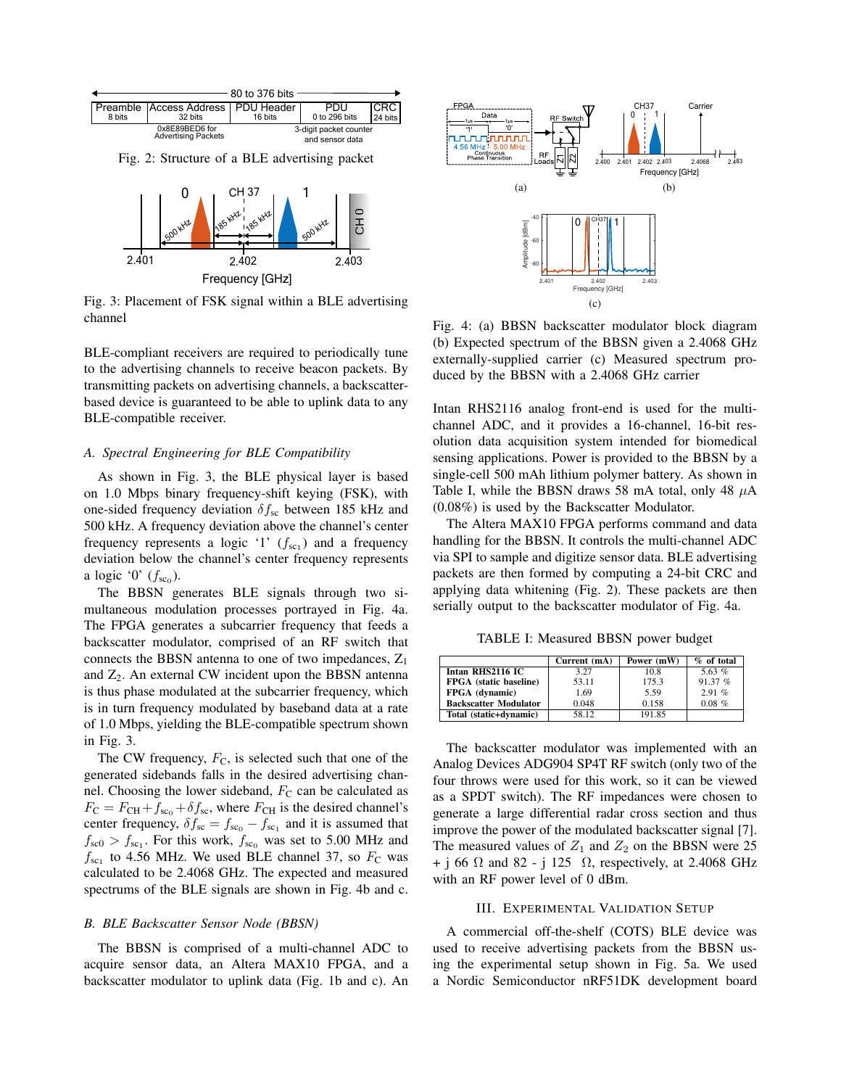

Fig. 2: Structure of a BLE advertising packet



Fig. 3: Placement of FSK signal within a BLE advertising channel

BLE-compliant receivers are required to periodically tune to the advertising channels to receive beacon packets. By transmitting packets on advertising channels, a backscatterbased device is guaranteed to be able to uplink data to any BLE-compatible receiver.

## *A. Spectral Engineering for BLE Compatibility*

As shown in Fig. 3, the BLE physical layer is based on 1.0 Mbps binary frequency-shift keying (FSK), with one-sided frequency deviation  $\delta f_{\rm sc}$  between 185 kHz and 500 kHz. A frequency deviation above the channel's center frequency represents a logic '1'  $(f_{sc_1})$  and a frequency deviation below the channel's center frequency represents a logic '0'  $(f_{\rm sc_0})$ .

The BBSN generates BLE signals through two simultaneous modulation processes portrayed in Fig. 4a. The FPGA generates a subcarrier frequency that feeds a backscatter modulator, comprised of an RF switch that connects the BBSN antenna to one of two impedances,  $Z_1$ and  $Z_2$ . An external CW incident upon the BBSN antenna is thus phase modulated at the subcarrier frequency, which is in turn frequency modulated by baseband data at a rate of 1.0 Mbps, yielding the BLE-compatible spectrum shown in Fig. 3.

The CW frequency,  $F_C$ , is selected such that one of the generated sidebands falls in the desired advertising channel. Choosing the lower sideband,  $F<sub>C</sub>$  can be calculated as  $F_{\rm C} = F_{\rm CH} + f_{\rm sc} + \delta f_{\rm sc}$ , where  $F_{\rm CH}$  is the desired channel's center frequency,  $\delta f_{\rm sc} = f_{\rm sc_0} - f_{\rm sc_1}$  and it is assumed that  $f_{\rm sc0} > f_{\rm sc1}$ . For this work,  $f_{\rm sc0}$  was set to 5.00 MHz and  $f_{\rm sc_1}$  to 4.56 MHz. We used BLE channel 37, so  $F_{\rm C}$  was calculated to be 2.4068 GHz. The expected and measured spectrums of the BLE signals are shown in Fig. 4b and c.

#### *B. BLE Backscatter Sensor Node (BBSN)*

The BBSN is comprised of a multi-channel ADC to acquire sensor data, an Altera MAX10 FPGA, and a backscatter modulator to uplink data (Fig. 1b and c). An



Fig. 4: (a) BBSN backscatter modulator block diagram (b) Expected spectrum of the BBSN given a 2.4068 GHz externally-supplied carrier (c) Measured spectrum produced by the BBSN with a 2.4068 GHz carrier

Intan RHS2116 analog front-end is used for the multichannel ADC, and it provides a 16-channel, 16-bit resolution data acquisition system intended for biomedical sensing applications. Power is provided to the BBSN by a single-cell 500 mAh lithium polymer battery. As shown in Table I, while the BBSN draws 58 mA total, only 48  $\mu$ A (0.08%) is used by the Backscatter Modulator.

The Altera MAX10 FPGA performs command and data handling for the BBSN. It controls the multi-channel ADC via SPI to sample and digitize sensor data. BLE advertising packets are then formed by computing a 24-bit CRC and applying data whitening (Fig. 2). These packets are then serially output to the backscatter modulator of Fig. 4a.

TABLE I: Measured BBSN power budget

|                              | Current (mA) | Power (mW) | $%$ of total |
|------------------------------|--------------|------------|--------------|
| Intan RHS2116 IC             | 3.27         | 10.8       | 5.63 $%$     |
| FPGA (static baseline)       | 53.11        | 175.3      | 91.37%       |
| FPGA (dynamic)               | 1.69         | 5.59       | 2.91%        |
| <b>Backscatter Modulator</b> | 0.048        | 0.158      | $0.08\%$     |
| Total (static+dynamic)       | 58.12        | 191.85     |              |

The backscatter modulator was implemented with an Analog Devices ADG904 SP4T RF switch (only two of the four throws were used for this work, so it can be viewed as a SPDT switch). The RF impedances were chosen to generate a large differential radar cross section and thus improve the power of the modulated backscatter signal [7]. The measured values of  $Z_1$  and  $Z_2$  on the BBSN were 25 + j 66  $\Omega$  and 82 - j 125  $\Omega$ , respectively, at 2.4068 GHz with an RF power level of 0 dBm.

## III. EXPERIMENTAL VALIDATION SETUP

A commercial off-the-shelf (COTS) BLE device was used to receive advertising packets from the BBSN using the experimental setup shown in Fig. 5a. We used a Nordic Semiconductor nRF51DK development board